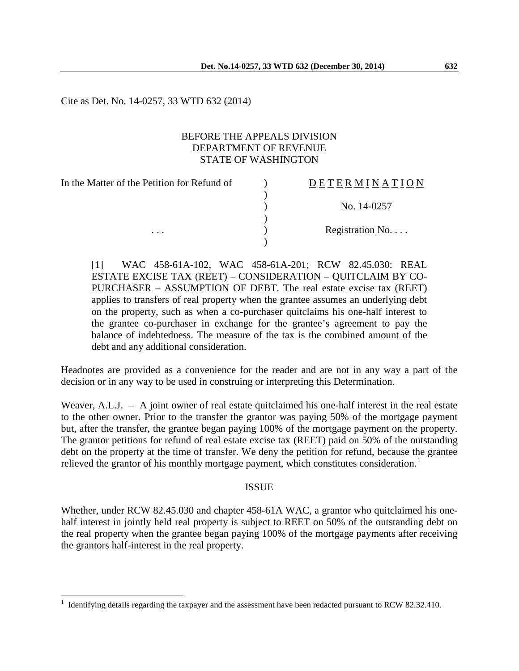Cite as Det. No. 14-0257, 33 WTD 632 (2014)

### BEFORE THE APPEALS DIVISION DEPARTMENT OF REVENUE STATE OF WASHINGTON

In the Matter of the Petition for Refund of  $\qquad)$ ) D E T E R M I N A T I O N ) No. 14-0257 ) ... Registration No.... )

[1] WAC 458-61A-102, WAC 458-61A-201; RCW 82.45.030: REAL ESTATE EXCISE TAX (REET) – CONSIDERATION – QUITCLAIM BY CO-PURCHASER – ASSUMPTION OF DEBT. The real estate excise tax (REET) applies to transfers of real property when the grantee assumes an underlying debt on the property, such as when a co-purchaser quitclaims his one-half interest to the grantee co-purchaser in exchange for the grantee's agreement to pay the balance of indebtedness. The measure of the tax is the combined amount of the debt and any additional consideration.

Headnotes are provided as a convenience for the reader and are not in any way a part of the decision or in any way to be used in construing or interpreting this Determination.

Weaver, A.L.J. – A joint owner of real estate quitclaimed his one-half interest in the real estate to the other owner. Prior to the transfer the grantor was paying 50% of the mortgage payment but, after the transfer, the grantee began paying 100% of the mortgage payment on the property. The grantor petitions for refund of real estate excise tax (REET) paid on 50% of the outstanding debt on the property at the time of transfer. We deny the petition for refund, because the grantee relieved the grantor of his monthly mortgage payment, which constitutes consideration.<sup>[1](#page-0-0)</sup>

### ISSUE

Whether, under RCW 82.45.030 and chapter 458-61A WAC, a grantor who quitclaimed his onehalf interest in jointly held real property is subject to REET on 50% of the outstanding debt on the real property when the grantee began paying 100% of the mortgage payments after receiving the grantors half-interest in the real property.

 $\overline{a}$ 

<span id="page-0-0"></span><sup>1</sup> Identifying details regarding the taxpayer and the assessment have been redacted pursuant to RCW 82.32.410.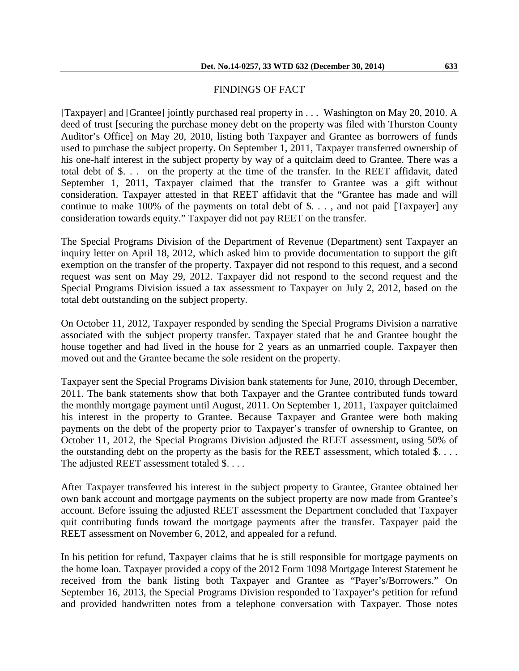## FINDINGS OF FACT

[Taxpayer] and [Grantee] jointly purchased real property in . . . Washington on May 20, 2010. A deed of trust [securing the purchase money debt on the property was filed with Thurston County Auditor's Office] on May 20, 2010, listing both Taxpayer and Grantee as borrowers of funds used to purchase the subject property. On September 1, 2011, Taxpayer transferred ownership of his one-half interest in the subject property by way of a quitclaim deed to Grantee. There was a total debt of \$. . . on the property at the time of the transfer. In the REET affidavit, dated September 1, 2011, Taxpayer claimed that the transfer to Grantee was a gift without consideration. Taxpayer attested in that REET affidavit that the "Grantee has made and will continue to make 100% of the payments on total debt of \$. . . , and not paid [Taxpayer] any consideration towards equity." Taxpayer did not pay REET on the transfer.

The Special Programs Division of the Department of Revenue (Department) sent Taxpayer an inquiry letter on April 18, 2012, which asked him to provide documentation to support the gift exemption on the transfer of the property. Taxpayer did not respond to this request, and a second request was sent on May 29, 2012. Taxpayer did not respond to the second request and the Special Programs Division issued a tax assessment to Taxpayer on July 2, 2012, based on the total debt outstanding on the subject property.

On October 11, 2012, Taxpayer responded by sending the Special Programs Division a narrative associated with the subject property transfer. Taxpayer stated that he and Grantee bought the house together and had lived in the house for 2 years as an unmarried couple. Taxpayer then moved out and the Grantee became the sole resident on the property.

Taxpayer sent the Special Programs Division bank statements for June, 2010, through December, 2011. The bank statements show that both Taxpayer and the Grantee contributed funds toward the monthly mortgage payment until August, 2011. On September 1, 2011, Taxpayer quitclaimed his interest in the property to Grantee. Because Taxpayer and Grantee were both making payments on the debt of the property prior to Taxpayer's transfer of ownership to Grantee, on October 11, 2012, the Special Programs Division adjusted the REET assessment, using 50% of the outstanding debt on the property as the basis for the REET assessment, which totaled  $\$ ... The adjusted REET assessment totaled \$. . . .

After Taxpayer transferred his interest in the subject property to Grantee, Grantee obtained her own bank account and mortgage payments on the subject property are now made from Grantee's account. Before issuing the adjusted REET assessment the Department concluded that Taxpayer quit contributing funds toward the mortgage payments after the transfer. Taxpayer paid the REET assessment on November 6, 2012, and appealed for a refund.

In his petition for refund, Taxpayer claims that he is still responsible for mortgage payments on the home loan. Taxpayer provided a copy of the 2012 Form 1098 Mortgage Interest Statement he received from the bank listing both Taxpayer and Grantee as "Payer's/Borrowers." On September 16, 2013, the Special Programs Division responded to Taxpayer's petition for refund and provided handwritten notes from a telephone conversation with Taxpayer. Those notes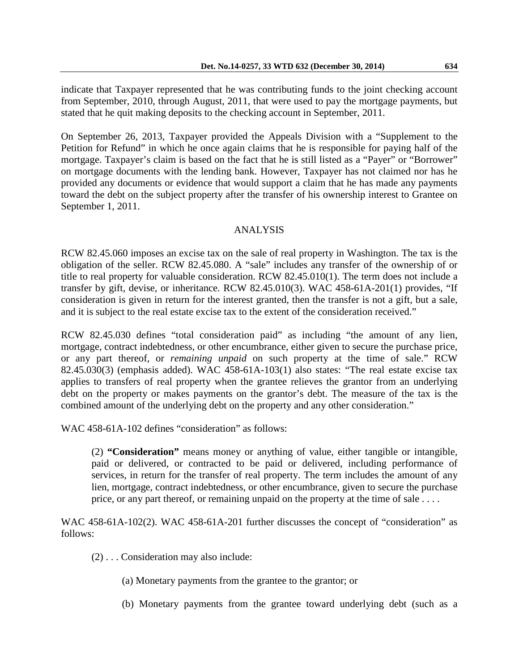indicate that Taxpayer represented that he was contributing funds to the joint checking account from September, 2010, through August, 2011, that were used to pay the mortgage payments, but stated that he quit making deposits to the checking account in September, 2011.

On September 26, 2013, Taxpayer provided the Appeals Division with a "Supplement to the Petition for Refund" in which he once again claims that he is responsible for paying half of the mortgage. Taxpayer's claim is based on the fact that he is still listed as a "Payer" or "Borrower" on mortgage documents with the lending bank. However, Taxpayer has not claimed nor has he provided any documents or evidence that would support a claim that he has made any payments toward the debt on the subject property after the transfer of his ownership interest to Grantee on September 1, 2011.

## ANALYSIS

RCW 82.45.060 imposes an excise tax on the sale of real property in Washington. The tax is the obligation of the seller. RCW 82.45.080. A "sale" includes any transfer of the ownership of or title to real property for valuable consideration. RCW 82.45.010(1). The term does not include a transfer by gift, devise, or inheritance. RCW 82.45.010(3). WAC 458-61A-201(1) provides, "If consideration is given in return for the interest granted, then the transfer is not a gift, but a sale, and it is subject to the real estate excise tax to the extent of the consideration received."

RCW 82.45.030 defines "total consideration paid" as including "the amount of any lien, mortgage, contract indebtedness, or other encumbrance, either given to secure the purchase price, or any part thereof, or *remaining unpaid* on such property at the time of sale." RCW 82.45.030(3) (emphasis added). WAC 458-61A-103(1) also states: "The real estate excise tax applies to transfers of real property when the grantee relieves the grantor from an underlying debt on the property or makes payments on the grantor's debt. The measure of the tax is the combined amount of the underlying debt on the property and any other consideration."

WAC 458-61A-102 defines "consideration" as follows:

(2) **"Consideration"** means money or anything of value, either tangible or intangible, paid or delivered, or contracted to be paid or delivered, including performance of services, in return for the transfer of real property. The term includes the amount of any lien, mortgage, contract indebtedness, or other encumbrance, given to secure the purchase price, or any part thereof, or remaining unpaid on the property at the time of sale . . . .

WAC 458-61A-102(2). WAC 458-61A-201 further discusses the concept of "consideration" as follows:

- (2) . . . Consideration may also include:
	- (a) Monetary payments from the grantee to the grantor; or
	- (b) Monetary payments from the grantee toward underlying debt (such as a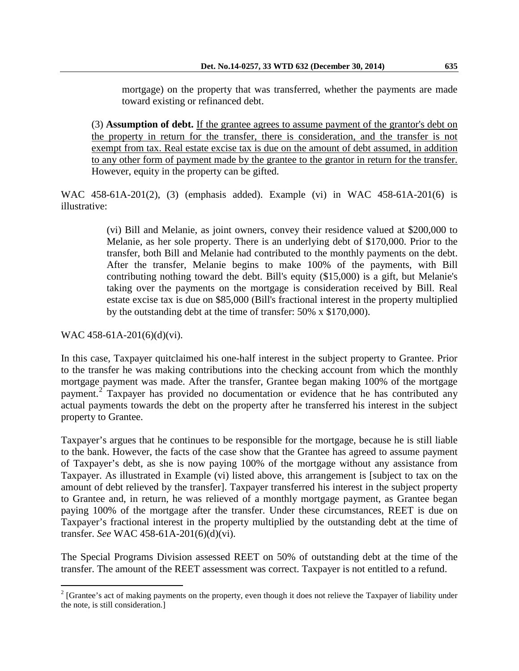mortgage) on the property that was transferred, whether the payments are made toward existing or refinanced debt.

(3) **Assumption of debt.** If the grantee agrees to assume payment of the grantor's debt on the property in return for the transfer, there is consideration, and the transfer is not exempt from tax. Real estate excise tax is due on the amount of debt assumed, in addition to any other form of payment made by the grantee to the grantor in return for the transfer. However, equity in the property can be gifted.

WAC 458-61A-201(2), (3) (emphasis added). Example (vi) in WAC 458-61A-201(6) is illustrative:

> (vi) Bill and Melanie, as joint owners, convey their residence valued at \$200,000 to Melanie, as her sole property. There is an underlying debt of \$170,000. Prior to the transfer, both Bill and Melanie had contributed to the monthly payments on the debt. After the transfer, Melanie begins to make 100% of the payments, with Bill contributing nothing toward the debt. Bill's equity (\$15,000) is a gift, but Melanie's taking over the payments on the mortgage is consideration received by Bill. Real estate excise tax is due on \$85,000 (Bill's fractional interest in the property multiplied by the outstanding debt at the time of transfer: 50% x \$170,000).

WAC 458-61A-201(6)(d)(vi).

In this case, Taxpayer quitclaimed his one-half interest in the subject property to Grantee. Prior to the transfer he was making contributions into the checking account from which the monthly mortgage payment was made. After the transfer, Grantee began making 100% of the mortgage payment.[2](#page-3-0) Taxpayer has provided no documentation or evidence that he has contributed any actual payments towards the debt on the property after he transferred his interest in the subject property to Grantee.

Taxpayer's argues that he continues to be responsible for the mortgage, because he is still liable to the bank. However, the facts of the case show that the Grantee has agreed to assume payment of Taxpayer's debt, as she is now paying 100% of the mortgage without any assistance from Taxpayer. As illustrated in Example (vi) listed above, this arrangement is [subject to tax on the amount of debt relieved by the transfer]. Taxpayer transferred his interest in the subject property to Grantee and, in return, he was relieved of a monthly mortgage payment, as Grantee began paying 100% of the mortgage after the transfer. Under these circumstances, REET is due on Taxpayer's fractional interest in the property multiplied by the outstanding debt at the time of transfer. *See* WAC 458-61A-201(6)(d)(vi).

The Special Programs Division assessed REET on 50% of outstanding debt at the time of the transfer. The amount of the REET assessment was correct. Taxpayer is not entitled to a refund.

<span id="page-3-0"></span> $2^{2}$  [Grantee's act of making payments on the property, even though it does not relieve the Taxpayer of liability under the note, is still consideration.]  $\overline{a}$